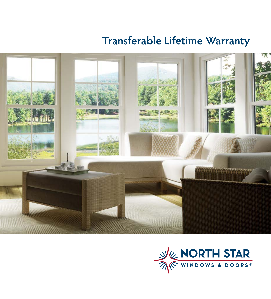# **Transferable Lifetime Warranty**



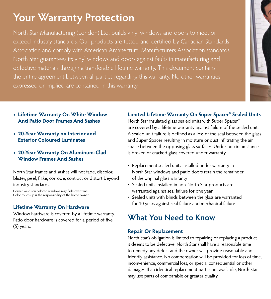# **Your Warranty Protection**

North Star Manufacturing (London) Ltd. builds vinyl windows and doors to meet or exceed industry standards. Our products are tested and certified by Canadian Standards Association and comply with American Architectural Manufacturers Association standards. North Star guarantees its vinyl windows and doors against faults in manufacturing and defective materials through a transferable lifetime warranty. This document contains the entire agreement between all parties regarding this warranty. No other warranties expressed or implied are contained in this warranty.



- **Lifetime Warranty On White Window And Patio Door Frames And Sashes**
- **20-Year Warranty on Interior and Exterior Coloured Laminates**
- **20-Year Warranty On Aluminum-Clad Window Frames And Sashes**

North Star frames and sashes will not fade, discolor, blister, peel, flake, corrode, contract or distort beyond industry standards.

Corner welds on colored windows may fade over time. Color touch-up is the responsibility of the home owner.

### **Lifetime Warranty On Hardware**

Window hardware is covered by a lifetime warranty. Patio door hardware is covered for a period of five (5) years.

### **Limited Lifetime Warranty On Super Spacer® Sealed Units**

North Star insulated glass sealed units with Super Spacer® are covered by a lifetime warranty against failure of the sealed unit. A sealed unit failure is defined as a loss of the seal between the glass and Super Spacer resulting in moisture or dust infiltrating the air space between the opposing glass surfaces. Under no circumstance is broken or cracked glass covered under warranty.

- Replacement sealed units installed under warranty in North Star windows and patio doors retain the remainder of the original glass warranty
- Sealed units installed in non-North Star products are warranted against seal failure for one year
- Sealed units with blinds between the glass are warranted for 10 years against seal failure and mechanical failure

## **What You Need to Know**

### **Repair Or Replacement**

North Star's obligation is limited to repairing or replacing a product it deems to be defective. North Star shall have a reasonable time to remedy any defect and the owner will provide reasonable and friendly assistance. No compensation will be provided for loss of time, inconvenience, commercial loss, or special consequential or other damages. If an identical replacement part is not available, North Star may use parts of comparable or greater quality.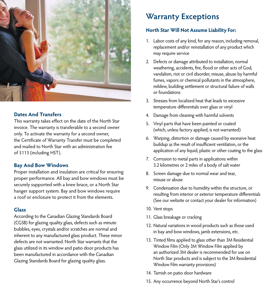

### **Dates And Transfers**

This warranty takes effect on the date of the North Star invoice. The warranty is transferable to a second owner only. To activate the warranty for a second owner, the Certificate of Warranty Transfer must be completed and mailed to North Star with an administration fee of \$113 (including HST).

#### **Bay And Bow Windows**

Proper installation and insulation are critical for ensuring proper performance. All bay and bow windows must be securely supported with a knee brace, or a North Star hanger support system. Bay and bow windows require a roof or enclosure to protect it from the elements.

### **Glass**

According to the Canadian Glazing Standards Board (CGSB) for glazing quality glass, defects such as minute bubbles, eyes, crystals and/or scratches are normal and inherent to any manufactured glass product. These minor defects are not warranted. North Star warrants that the glass utilized in its window and patio door products has been manufactured in accordance with the Canadian Glazing Standards Board for glazing quality glass.

## **Warranty Exceptions**

### **North Star Will Not Assume Liability For:**

- 1. Labor costs of any kind, for any reason, including removal, replacement and/or reinstallation of any product which may require service
- 2. Defects or damage attributed to installation, normal weathering, accidents, fire, flood or other acts of God, vandalism, riot or civil disorder, misuse, abuse by harmful fumes, vapors or chemical pollutants in the atmosphere, mildew, building settlement or structural failure of walls or foundations
- 3. Stresses from localized heat that leads to excessive temperature differentials over glass or vinyl
- 4. Damage from cleaning with harmful solvents
- 5. Vinyl parts that have been painted or coated (which, unless factory applied, is not warranted)
- 6. Warping, distortion or damage caused by excessive heat buildup as the result of insufficient ventilation, or the application of any liquid, plastic or other coating to the glass
- 7. Corrosion to metal parts in applications within 3.2 kilometres or 2 miles of a body of salt water
- 8. Screen damage due to normal wear and tear, misuse or abuse
- 9. Condensation due to humidity within the structure, or resulting from interior or exterior temperature differentials (See our website or contact your dealer for information)
- 10. Vent stops
- 11. Glass breakage or cracking
- 12. Natural variations in wood products such as those used in bay and bow windows, jamb extensions, etc.
- 13. Tinted films applied to glass other than 3M Residential Window Film (Only 3M Window Film applied by an authorized 3M dealer is recommended for use on North Star products and is subject to the 3M Residential Window Film warranty provisions)
- 14. Tarnish on patio door hardware
- 15. Any occurrence beyond North Star's control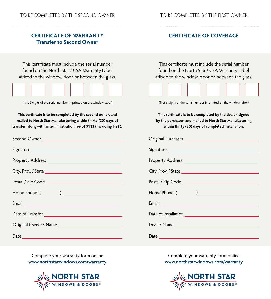### **CERTIFICATE OF WARRANTY Transfer to Second Owner**

### **CERTIFICATE OF COVERAGE**

This certificate must include the serial number found on the North Star / CSA Warranty Label affixed to the window, door or between the glass.

(first 6 digits of the serial number imprinted on the window label)

**This certificate is to be completed by the second owner, and mailed to North Star Manufacturing within thirty (30) days of transfer, along with an administration fee of \$113 (including HST).**

| City, Prov. / State                                                                                                  |  |  |
|----------------------------------------------------------------------------------------------------------------------|--|--|
|                                                                                                                      |  |  |
|                                                                                                                      |  |  |
| Email <u>Communication and Communication and Communication and Communication and Communication and Communication</u> |  |  |
| Date of Transfer                                                                                                     |  |  |
| Original Owner's Name                                                                                                |  |  |
|                                                                                                                      |  |  |

This certificate must include the serial number found on the North Star / CSA Warranty Label affixed to the window, door or between the glass.



(first 6 digits of the serial number imprinted on the window label)

**This certificate is to be completed by the dealer, signed by the purchaser, and mailed to North Star Manufacturing within thirty (30) days of completed installation.**

| Original Purchaser <b>Manual According to the Contract of Table 1989</b>                                               |
|------------------------------------------------------------------------------------------------------------------------|
|                                                                                                                        |
|                                                                                                                        |
|                                                                                                                        |
|                                                                                                                        |
|                                                                                                                        |
| Email <u>San Ann anns an t-Iomraid anns an t-Iomraid anns an t-Iomraid anns an t-Iomraid anns an t-Iomraid anns an</u> |
| Date of Installation                                                                                                   |
|                                                                                                                        |
|                                                                                                                        |

Complete your warranty form online **www.northstarwindows.com/warranty**



Complete your warranty form online **www.northstarwindows.com/warranty**

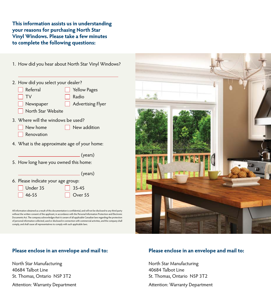**This information assists us in understanding your reasons for purchasing North Star Vinyl Windows. Please take a few minutes to complete the following questions:**

1. How did you hear about North Star Vinyl Windows?

| 2. How did you select your dealer?              |  |                   |  |  |
|-------------------------------------------------|--|-------------------|--|--|
| $\Box$ Referral                                 |  | Yellow Pages      |  |  |
| $\Box$ TV                                       |  | Radio             |  |  |
| $\Box$ Newspaper                                |  | Advertising Flyer |  |  |
| North Star Website                              |  |                   |  |  |
| 10، ومن مط مسجد استثنت مطع النسوم والـ 20، 1970 |  |                   |  |  |

3. Where will the windows be used?

| New home | $\Box$ New addition |
|----------|---------------------|
|          |                     |

- Renovation
- 4. What is the approximate age of your home:

(years)

5. How long have you owned this home:

|                                    | (years)           |
|------------------------------------|-------------------|
| 6. Please indicate your age group: |                   |
| $\Box$ Under 35                    | $\parallel$ 35-45 |
| $\parallel$   46-55                | $\Box$ Over 55    |
|                                    |                   |

All information obtained as a result of this documentation is confidential, and will not be disclosed to any third party without the written consent of the applicant, in accordance with the Personal Information Protection and Electronic Documents Act. The company acknowledges that it is aware of all applicable Canadian laws regarding the protection<br>of personal information collected, used or disclosed in connection with commercial activities, and the compa comply, and shall cause all representatives to comply with such applicable laws.



### **Please enclose in an envelope and mail to:**

North Star Manufacturing 40684 Talbot Line St. Thomas, Ontario N5P 3T2

Attention: Warranty Department

### **Please enclose in an envelope and mail to:**

North Star Manufacturing 40684 Talbot Line St. Thomas, Ontario N5P 3T2

Attention: Warranty Department